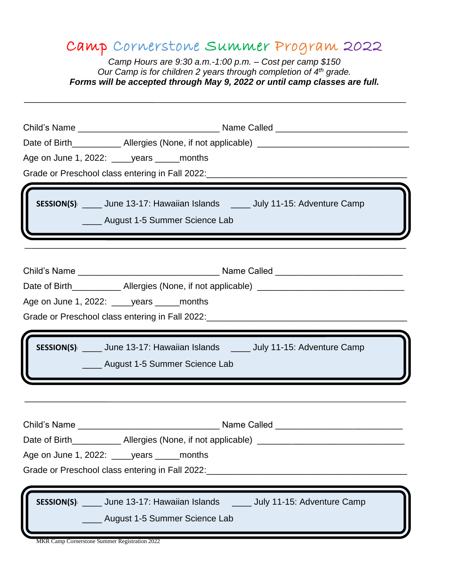## Camp Cornerstone Summer Program 2022

*Camp Hours are 9:30 a.m.-1:00 p.m. – Cost per camp \$150 Our Camp is for children 2 years through completion of 4th grade. Forms will be accepted through May 9, 2022 or until camp classes are full.* 

| Age on June 1, 2022: vears _____ months |                                                                                                                                                                       |  |  |  |  |  |
|-----------------------------------------|-----------------------------------------------------------------------------------------------------------------------------------------------------------------------|--|--|--|--|--|
|                                         | Grade or Preschool class entering in Fall 2022: ________________________________                                                                                      |  |  |  |  |  |
|                                         | SESSION(S): ____ June 13-17: Hawaiian Islands ____ July 11-15: Adventure Camp<br>_____ August 1-5 Summer Science Lab<br><u> Andrew Maria (1989)</u>                   |  |  |  |  |  |
|                                         |                                                                                                                                                                       |  |  |  |  |  |
|                                         | Date of Birth_______________ Allergies (None, if not applicable) ___________________________________                                                                  |  |  |  |  |  |
|                                         | Age on June 1, 2022: _____ years ______ months                                                                                                                        |  |  |  |  |  |
|                                         |                                                                                                                                                                       |  |  |  |  |  |
|                                         | SESSION(S): ____ June 13-17: Hawaiian Islands _____ July 11-15: Adventure Camp                                                                                        |  |  |  |  |  |
|                                         | _____ August 1-5 Summer Science Lab                                                                                                                                   |  |  |  |  |  |
|                                         | Date of Birth______________ Allergies (None, if not applicable)<br>Age on June 1, 2022: ______ years ______ months<br>Grade or Preschool class entering in Fall 2022: |  |  |  |  |  |

MKR Camp Cornerstone Summer Registration 2022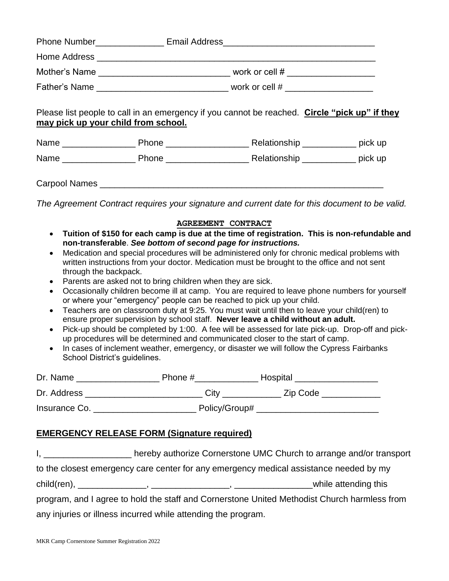|                                     | Phone Number ____________________ Email Address_________________________________ |                                                                                                |  |  |
|-------------------------------------|----------------------------------------------------------------------------------|------------------------------------------------------------------------------------------------|--|--|
|                                     |                                                                                  |                                                                                                |  |  |
|                                     |                                                                                  |                                                                                                |  |  |
|                                     |                                                                                  |                                                                                                |  |  |
| may pick up your child from school. |                                                                                  | Please list people to call in an emergency if you cannot be reached. Circle "pick up" if they  |  |  |
|                                     |                                                                                  |                                                                                                |  |  |
|                                     |                                                                                  |                                                                                                |  |  |
|                                     |                                                                                  |                                                                                                |  |  |
|                                     |                                                                                  | The Agreement Contract requires your signature and current date for this document to be valid. |  |  |

## **AGREEMENT CONTRACT**

- **Tuition of \$150 for each camp is due at the time of registration. This is non-refundable and non-transferable**. *See bottom of second page for instructions.*
- Medication and special procedures will be administered only for chronic medical problems with written instructions from your doctor. Medication must be brought to the office and not sent through the backpack.
- Parents are asked not to bring children when they are sick.
- Occasionally children become ill at camp. You are required to leave phone numbers for yourself or where your "emergency" people can be reached to pick up your child.
- Teachers are on classroom duty at 9:25. You must wait until then to leave your child(ren) to ensure proper supervision by school staff. **Never leave a child without an adult.**
- Pick-up should be completed by 1:00. A fee will be assessed for late pick-up. Drop-off and pickup procedures will be determined and communicated closer to the start of camp.
- In cases of inclement weather, emergency, or disaster we will follow the Cypress Fairbanks School District's guidelines.

| Dr. Name      | Phone #       | Hospital |
|---------------|---------------|----------|
| Dr. Address   | City          | Zip Code |
| Insurance Co. | Policy/Group# |          |

## **EMERGENCY RELEASE FORM (Signature required)**

I, Letter thereby authorize Cornerstone UMC Church to arrange and/or transport to the closest emergency care center for any emergency medical assistance needed by my  $child(ren), \_\_$ program, and I agree to hold the staff and Cornerstone United Methodist Church harmless from any injuries or illness incurred while attending the program.